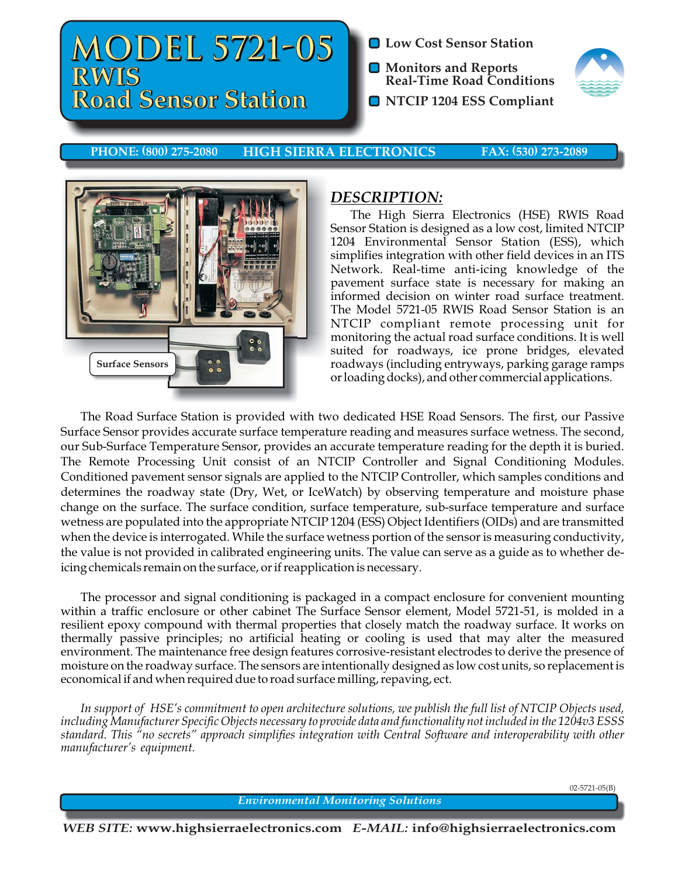# **MODEL 5721-05 MODEL 5721-05 MODEL RWIS RWIS Road Sensor Station Road Sensor Road Sensor Station Road Sensor**

- **Low Cost Sensor Station**
- **Monitors and Reports Real-Time Road Conditions**
- **O** NTCIP 1204 ESS Compliant



**HIGH SIERRA ELECTRONICS PHONE: (800) 275-2080 HIGH SIERRA ELECTRONICS FAX: (530) 273-2089**



## *DESCRIPTION:*

The High Sierra Electronics (HSE) RWIS Road Sensor Station is designed as a low cost, limited NTCIP 1204 Environmental Sensor Station (ESS), which simplifies integration with other field devices in an ITS Network. Real-time anti-icing knowledge of the pavement surface state is necessary for making an informed decision on winter road surface treatment. The Model 5721-05 RWIS Road Sensor Station is an NTCIP compliant remote processing unit for monitoring the actual road surface conditions. It is well suited for roadways, ice prone bridges, elevated roadways (including entryways, parking garage ramps or loading docks), and other commercial applications.

The Road Surface Station is provided with two dedicated HSE Road Sensors. The first, our Passive Surface Sensor provides accurate surface temperature reading and measures surface wetness. The second, our Sub-Surface Temperature Sensor, provides an accurate temperature reading for the depth it is buried. The Remote Processing Unit consist of an NTCIP Controller and Signal Conditioning Modules. Conditioned pavement sensor signals are applied to the NTCIP Controller, which samples conditions and determines the roadway state (Dry, Wet, or IceWatch) by observing temperature and moisture phase change on the surface. The surface condition, surface temperature, sub-surface temperature and surface wetness are populated into the appropriate NTCIP 1204 (ESS) Object Identifiers (OIDs) and are transmitted when the device is interrogated. While the surface wetness portion of the sensor is measuring conductivity, the value is not provided in calibrated engineering units. The value can serve as a guide as to whether deicing chemicals remain on the surface, or if reapplication is necessary.

The processor and signal conditioning is packaged in a compact enclosure for convenient mounting within a traffic enclosure or other cabinet The Surface Sensor element, Model 5721-51, is molded in a resilient epoxy compound with thermal properties that closely match the roadway surface. It works on thermally passive principles; no artificial heating or cooling is used that may alter the measured environment. The maintenance free design features corrosive-resistant electrodes to derive the presence of moisture on the roadway surface. The sensors are intentionally designed as low cost units, so replacement is economical if and when required due to road surface milling, repaving, ect.

*In support of HSE's commitment to open architecture solutions, we publish the full list of NTCIP Objects used, including Manufacturer Specific Objects necessary to provide data and functionality not included in the 1204v3 ESSS standard. This "no secrets" approach simplifies integration with Central Software and interoperability with other manufacturer's equipment.*

02-5721-05(B)

*Environmental Monitoring Solutions*